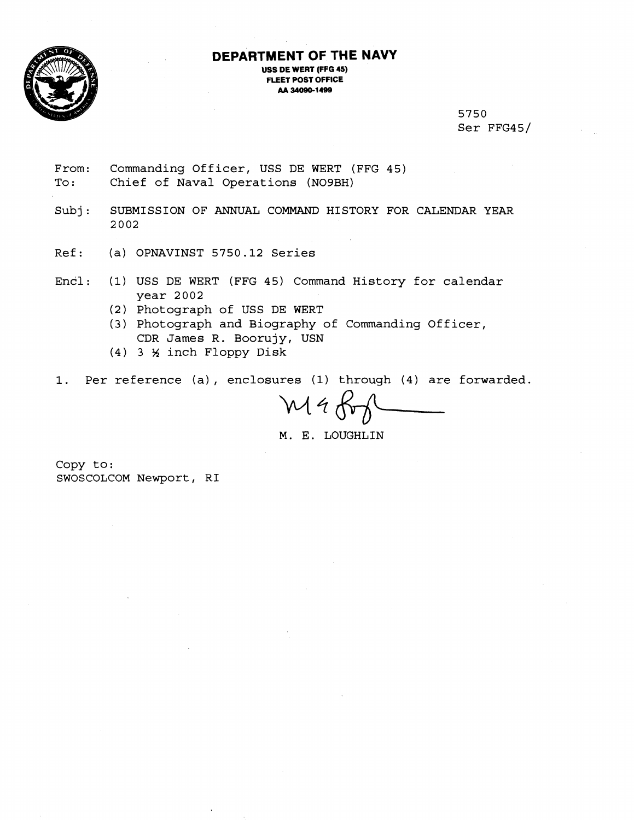

## **DEPARTMENT OF THE NAVY**

**USS DE WERT (FFG 45) FLEET POST OFFICE M 34080-1 499** 

> 5750 Ser FFG45/

From: Commanding Officer, USS DE WERT (FFG 45) To: Chief of Naval Operations (NO9BH)

Subj: SUBMISSION OF ANNUAL COMMAND HISTORY FOR CALENDAR YEAR 2002

- Ref: (a) OPNAVINST 5750.12 Series
- Encl: (1) USS DE WERT (FFG 45) Command History for calendar year 2002
	- (2) Photograph of USS DE WERT
	- (3) Photograph and Biography of Commanding Officer, CDR James R. Boorujy, USN
	- (4) 3 % inch Floppy Disk

1. Per reference (a) , enclosures (1) through (4) are forwarded.

Maf

M. E. LOUGHLIN

Copy to: SWOSCOLCOM Newport, RI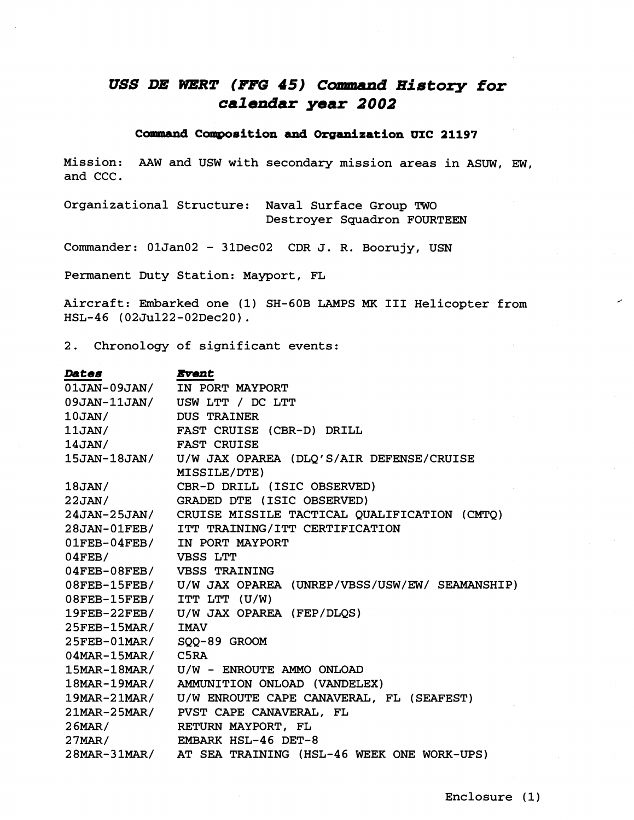## **USS** *DE DSERT* **(FFG 45) Camand History for calendar year 2002**

## **Command Composition and Organization UIC 21197**

Mission: AAW and USW with secondary mission areas in ASUW, EM, and CCC.

Organizational Structure: Naval Surface Group TWO Destroyer Squadron FOURTEEN

Commander: 01Jan02 - 31Dec02 CDR J. R. Boorujy, USN

Permanent Duty Station: Mayport, FL

Aircraft: Embarked one (1) SH-GOB LAMPS **MK** I11 Helicopter from HSL-46 (02Ju122-02Dec20).

2. Chronology of significant events:

| <i><b>Dates</b></i>        | <i><b>Event</b></i>                                         |
|----------------------------|-------------------------------------------------------------|
|                            | 01JAN-09JAN/ IN PORT MAYPORT                                |
|                            | 09JAN-11JAN/ USW LTT / DC LTT                               |
| $10$ JAN/ $\,$             | <b>DUS TRAINER</b>                                          |
| $11$ JAN/ $\,$             | FAST CRUISE (CBR-D) DRILL                                   |
| $14$ JAN/                  | <b>FAST CRUISE</b>                                          |
|                            | 15JAN-18JAN/ U/W JAX OPAREA (DLQ'S/AIR DEFENSE/CRUISE       |
|                            | MISSILE/DTE)                                                |
| 18JAN/                     | CBR-D DRILL (ISIC OBSERVED)                                 |
|                            | 22JAN/ GRADED DTE (ISIC OBSERVED)                           |
|                            | 24JAN-25JAN/ CRUISE MISSILE TACTICAL QUALIFICATION (CMTQ)   |
| $28$ JAN- $01$ FEB/        | ITT TRAINING/ITT CERTIFICATION                              |
|                            | 01FEB-04FEB/ IN PORT MAYPORT                                |
| $04$ FEB/                  | VBSS LTT                                                    |
| 04FEB-08FEB/ VBSS TRAINING |                                                             |
|                            | 08FEB-15FEB/ U/W JAX OPAREA (UNREP/VBSS/USW/EW/ SEAMANSHIP) |
| 08FEB-15FEB/ ITT LTT (U/W) |                                                             |
|                            | 19FEB-22FEB/ U/W JAX OPAREA (FEP/DLQS)                      |
| 25FEB-15MAR/ IMAV          |                                                             |
| 25FEB-01MAR/ SQQ-89 GROOM  |                                                             |
| 04MAR-15MAR/ C5RA          |                                                             |
|                            | 15MAR-18MAR/ U/W - ENROUTE AMMO ONLOAD                      |
| $18$ MAR- $19$ MAR/        | AMMUNITION ONLOAD (VANDELEX)                                |
|                            | 19MAR-21MAR/ U/W ENROUTE CAPE CANAVERAL, FL (SEAFEST)       |
|                            | 21MAR-25MAR/ PVST CAPE CANAVERAL, FL                        |
| $26$ MAR $/$               | RETURN MAYPORT, FL                                          |
|                            | 27MAR/ EMBARK HSL-46 DET-8                                  |
|                            | 28MAR-31MAR/ AT SEA TRAINING (HSL-46 WEEK ONE WORK-UPS)     |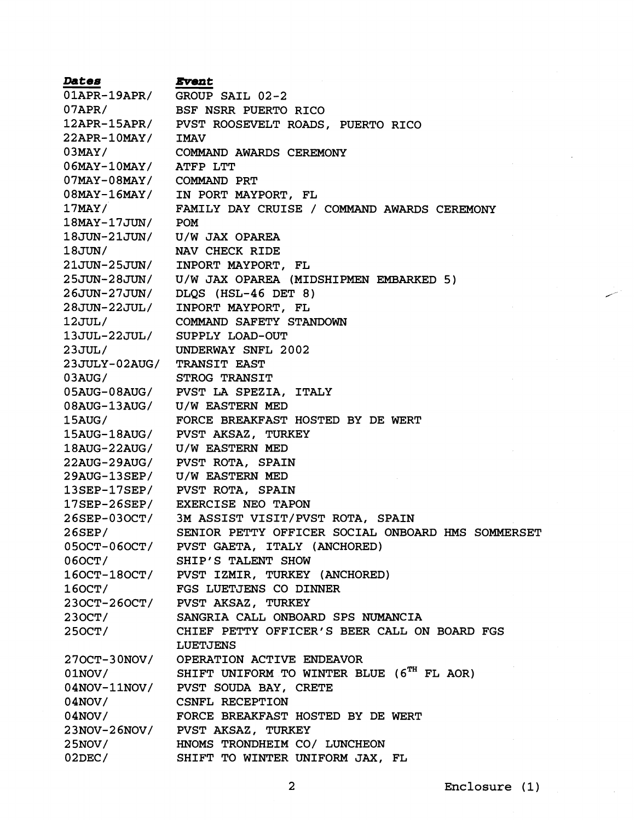**Dates Event**  OIAPR-19APR/ GROUP SAIL 02-2 O7APR/ BSF NSRR PUERTO RICO 12APR-ISAPR/ PVST ROOSEVELT ROADS, PUERTO RICO 22APR-IOMAY/ IMAV 03MAY/ COMMAND AWARDS CEREMONY 06MAY-lOMAY/ ATFP LTT 07MAY-08MAY/ COMMAND PRT IN PORT MAYPORT, FL 08MAY-16MAY/ FAMILY DAY CRUISE / COMMAND AWARDS CEREMONY 17MAY/ 18MAY-17JUN/ POM 18JUN-21JUN/ U/W JAX OPAREA 18JUN/ NAV CHECK RIDE 21JUN-25JUN/ INPORT MAYPORT, FL 25JUN-28JUN/ U/W JAX OPAREA (MIDSHIPMEN EMBARKED 5) DLQS (HSL-46 DET 8) 26JUN-27JUN/ 28JUN-22JUL/ INPORT MAYPORT, FL 12JUL/ COMMAND SAFETY STANDOWN 13JUL-22JUL/ SUPPLY LOAD-OUT 23JUL/ UNDERWAY SNFL 2002 23JULY-02AUG/ TRANSIT EAST 03AUG/ STROG TRANSIT OSAUG-08AUG/ PVST LA SPEZIA, ITALY 08AUG-13AUG/ U/W EASTERN MED 1 SAUG / FORCE BREAKFAST HOSTED BY DE WERT PVST AKSAZ, TURKEY 15AUG-18AUG/ U/W EASTERN MED  $18$ AUG-22AUG/ 22AUG-29AUG/ PVST ROTA, SPAIN 29AUG-13SEP/ U/W EASTERM MED 13SEP-17SEP/ PVST ROTA, SPAIN 17SEP-26SEP/ EXERCISE NEO TAPON 3M ASSIST VISIT/PVST ROTA, SPAIN 26SEP-030CTl 26SEP/ SENIOR PETTY OFFICER SOCIAL ONBOARD HMS SOMMERSET PVST GAETA, ITALY (ANCHORED) 050CT-060CT/ SHIP'S TALENT SHOW 060CT/ 160CT-180CT/ PVST IZMIR, TURKEY (ANCHORED) FGS LUETJENS CO DINNER  $160CT/$ 230CT-260CT/ PVST AKSAZ, TURKEY 230CT/ SANGRIA CALL ONBOARD SPS NUMANCIA CHIEF PETTY OFFICER'S BEER CALL ON BOARD FGS 250CT/ LUETJENS 270CT-30NOV/ OPERATION ACTIVE ENDEAVOR SHIFT UNIFORM TO WINTER BLUE  $(6^{TH}$  FL AOR)  $01NOV/$  $04NOV-11NOV/$ PVST SOUDA BAY, CRETE CSNFL RECEPTION  $04NOV/$ FORCE BREAKFAST HOSTED BY DE WERT  $04NOV/$ PVST AKSAZ, TURKEY  $23NOV - 26NOV/$ HNOMS TRONDHEIM CO/ LUNCHEON  $25NOV/$  $02$ DEC/ SHIFT TO WINTER UNIFORM JAX, FL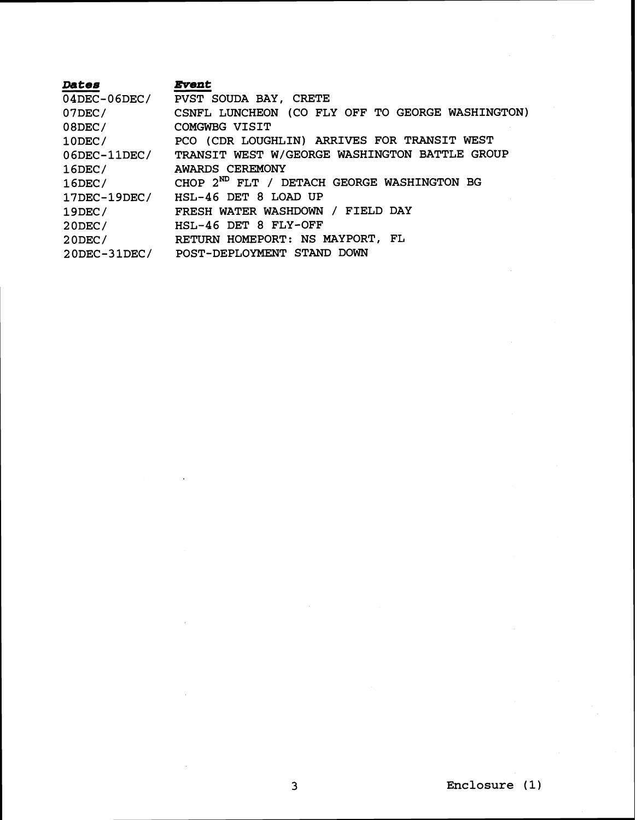| <b>Dates</b>        | <b>Event</b>                                           |
|---------------------|--------------------------------------------------------|
|                     | 04DEC-06DEC/ PVST SOUDA BAY, CRETE                     |
| $07$ DEC/           | CSNFL LUNCHEON (CO FLY OFF TO GEORGE WASHINGTON)       |
| $08$ DEC/           | COMGWBG VISIT                                          |
| $10$ DEC/           | PCO (CDR LOUGHLIN) ARRIVES FOR TRANSIT WEST            |
| $06$ DEC- $11$ DEC/ | TRANSIT WEST W/GEORGE WASHINGTON BATTLE GROUP          |
| $16$ DEC/           | AWARDS CEREMONY                                        |
| $16$ DEC/           | CHOP 2 <sup>ND</sup> FLT / DETACH GEORGE WASHINGTON BG |
| $17$ DEC- $19$ DEC/ | HSL-46 DET 8 LOAD UP                                   |
| $19$ DEC/           | FRESH WATER WASHDOWN / FIELD DAY                       |
| $20$ DEC/           | HSL-46 DET 8 FLY-OFF                                   |
| $20$ DEC/           | RETURN HOMEPORT: NS MAYPORT, FL                        |
|                     | 20DEC-31DEC/ POST-DEPLOYMENT STAND DOWN                |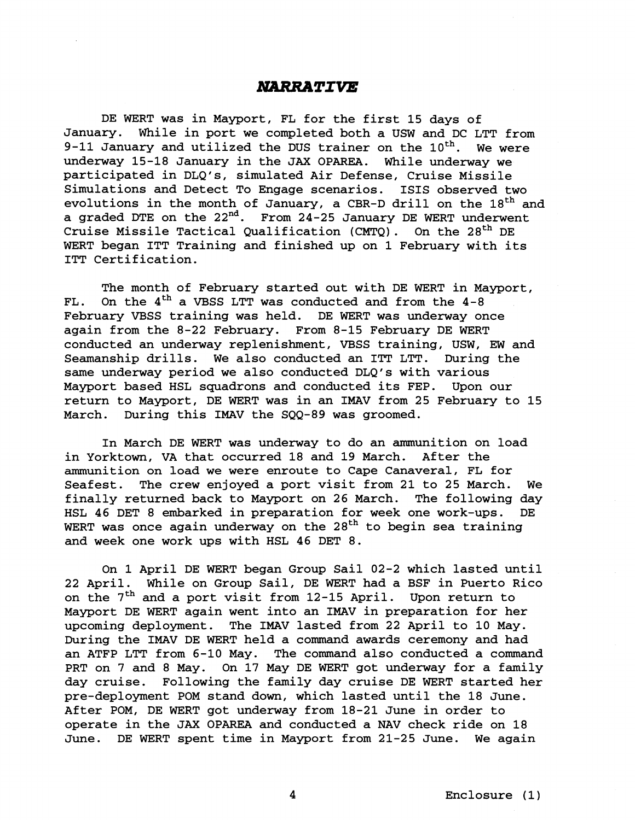## **NARRATIVE**

DE WERT was in Mayport, FL for the first 15 days of January. While in port we completed both a USW and DC LTT from 9-11 January and utilized the DUS trainer on the  $10^{th}$ . We were underway 15-18 January in the JAX OPAREA. While underway we participated in DLQ1s, simulated Air Defense, Cruise Missile Simulations and Detect To Engage scenarios. ISIS observed two evolutions in the month of January, a CBR-D drill on the  $18<sup>th</sup>$  and a graded DTE on the 22<sup>nd</sup>. From 24-25 January DE WERT underwent Cruise Missile Tactical Qualification (CMTQ). On the  $28<sup>th</sup>$  DE WERT began ITT Training and finished up on 1 February with its ITT Certification.

The month of February started out with DE WERT in Mayport, FL. On the  $4<sup>th</sup>$  a VBSS LTT was conducted and from the  $4-8$ February VBSS training was held. DE WERT was underway once again from the 8-22 February. From 8-15 February DE WERT conducted an underway replenishment, VBSS training, USW, EW and Seamanship drills. We also conducted an ITT LTT. During the same underway period we also conducted DLQ's with various Mayport based HSL squadrons and conducted its FEP. Upon our return to Mayport, DE WERT was in an IMAV from 25 February to 15 March. During this IMAV the SQQ-89 was groomed.

In March DE WERT was underway to do an ammunition on load in Yorktown, VA that occurred 18 and 19 March. After the ammunition on load we were enroute to Cape Canaveral, FL for Seafest. The crew enjoyed a port visit from 21 to 25 March. We finally returned back to Mayport on 26 March. The following day HSL 46 DET 8 embarked in preparation for week one work-ups. DE WERT was once again underway on the  $28<sup>th</sup>$  to begin sea training and week one work ups with HSL 46 DET 8.

On 1 April DE WERT began Group Sail 02-2 which lasted until 22 April. While on Group Sail, DE WERT had a BSF in Puerto Rico on the  $7<sup>th</sup>$  and a port visit from 12-15 April. Upon return to Mayport DE WERT again went into an IMAV in preparation for her upcoming deployment. The IMAV lasted from 22 April to 10 May. During the IMAV DE WERT held a command awards ceremony and had an ATFP LTT from 6-10 May. The command also conducted a command PRT on 7 and 8 May. On 17 May DE WERT got underway for a family day cruise. Following the family day cruise DE WERT started her pre-deployment POM stand down, which lasted until the 18 June. After POM, DE WERT got underway from 18-21 June in order to operate in the JAX OPAREA and conducted a NAV check ride on 18 June. DE WERT spent time in Mayport from 21-25 June. We again

4 Enclosure (1)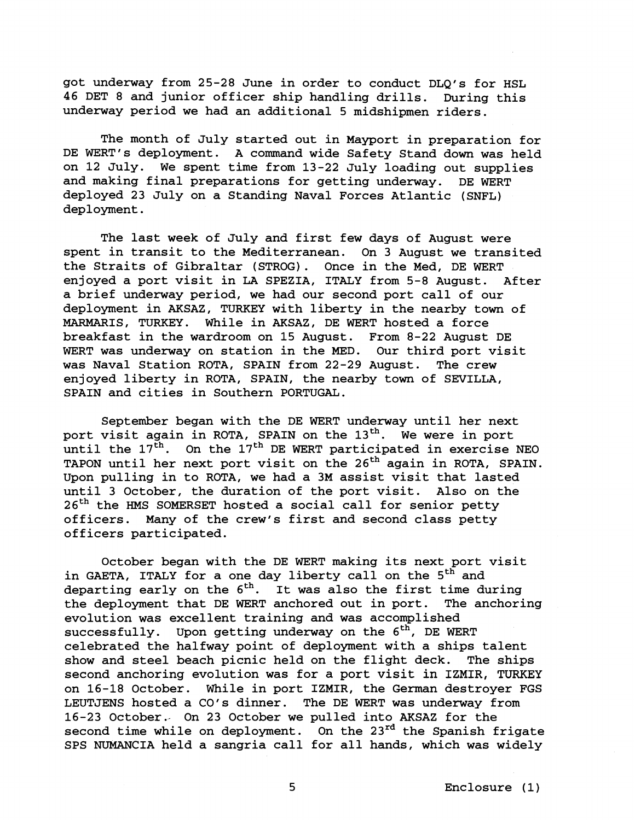got underway from 25-28 June in order to conduct DLQ's for HSL 46 DET 8 and junior officer ship handling drills. During this underway period we had an additional 5 midshipmen riders.

The month of July started out in Mayport in preparation for DE WERT's deployment. A command wide Safety Stand down was held on 12 July. We spent time from 13-22 July loading out supplies and making final preparations for getting underway. DE WERT deployed 23 July on a Standing Naval Forces Atlantic (SNFL) deployment.

The last week of July and first few days of August were spent in transit to the Mediterranean. On 3 August we transited the Straits of Gibraltar (STROG). Once in the Med, DE WERT enjoyed a port visit in LA SPEZIA, ITALY from 5-8 August. After a brief underway period, we had our second port call of our deployment in AKSAZ, TURKEY with liberty in the nearby town of MARMARIS, TURKEY. While in AKSAZ, DE WERT hosted a force breakfast in the wardroom on 15 August. From 8-22 August DE WERT was underway on station in the MED. Our third port visit was Naval Station ROTA, SPAIN from 22-29 August. The crew enjoyed liberty in ROTA, SPAIN, the nearby town of SEVILLA, SPAIN and cities in Southern PORTUGAL.

September began with the DE WERT underway until her next port visit again in ROTA, SPAIN on the 13<sup>th</sup>. We were in port until the  $17^{\text{th}}$ . On the  $17^{\text{th}}$  DE WERT participated in exercise NEO TAPON until her next port visit on the 26<sup>th</sup> again in ROTA, SPAIN. Upon pulling in to ROTA, we had a 3M assist visit that lasted until 3 October, the duration of the port visit. Also on the  $26<sup>th</sup>$  the HMS SOMERSET hosted a social call for senior petty officers. Many of the crew's first and second class petty officers participated.

October began with the DE WERT making its next port visit in GAETA, ITALY for a one day liberty call on the 5<sup>th</sup> and departing early on the  $6<sup>th</sup>$ . It was also the first time during the deployment that DE WERT anchored out in port. The anchoring evolution was excellent training and was accomplished successfully. Upon getting underway on the  $6<sup>th</sup>$ , DE WERT celebrated the halfway point of deployment with a ships talent show and steel beach picnic held on the flight deck. The ships second anchoring evolution was for a port visit in IZMIR, TURKEY on 16-18 October. While in port IZMIR, the German destroyer FGS LEUTJENS hosted a CO's dinner. The DE WERT was underway from 16-23 October.- On 23 October we pulled into AKSAZ for the second time while on deployment. On the  $23^{rd}$  the Spanish frigate SPS NUMANCIA held a sangria call for all hands, which was widely

5 Enclosure (1)